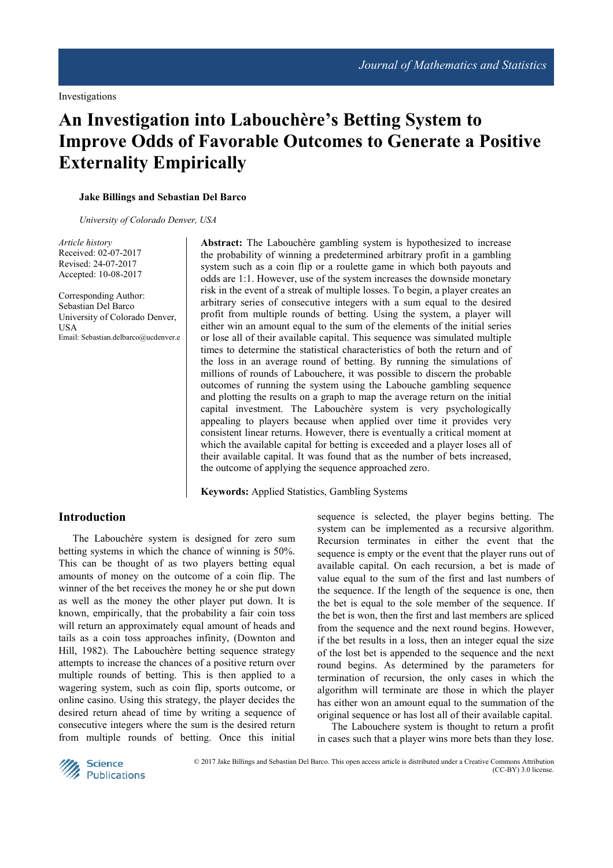# **An Investigation into Labouchère's Betting System to Improve Odds of Favorable Outcomes to Generate a Positive Externality Empirically**

#### **Jake Billings and Sebastian Del Barco**

*University of Colorado Denver, USA*

*Article history*  Received: 02-07-2017 Revised: 24-07-2017 Accepted: 10-08-2017

Corresponding Author: Sebastian Del Barco University of Colorado Denver, **USA** Email: Sebastian.delbarco@ucdenver.e **Abstract:** The Labouchère gambling system is hypothesized to increase the probability of winning a predetermined arbitrary profit in a gambling system such as a coin flip or a roulette game in which both payouts and odds are 1:1. However, use of the system increases the downside monetary risk in the event of a streak of multiple losses. To begin, a player creates an arbitrary series of consecutive integers with a sum equal to the desired profit from multiple rounds of betting. Using the system, a player will either win an amount equal to the sum of the elements of the initial series or lose all of their available capital. This sequence was simulated multiple times to determine the statistical characteristics of both the return and of the loss in an average round of betting. By running the simulations of millions of rounds of Labouchere, it was possible to discern the probable outcomes of running the system using the Labouche gambling sequence and plotting the results on a graph to map the average return on the initial capital investment. The Labouchère system is very psychologically appealing to players because when applied over time it provides very consistent linear returns. However, there is eventually a critical moment at which the available capital for betting is exceeded and a player loses all of their available capital. It was found that as the number of bets increased, the outcome of applying the sequence approached zero.

**Keywords:** Applied Statistics, Gambling Systems

# **Introduction**

The Labouchère system is designed for zero sum betting systems in which the chance of winning is 50%. This can be thought of as two players betting equal amounts of money on the outcome of a coin flip. The winner of the bet receives the money he or she put down as well as the money the other player put down. It is known, empirically, that the probability a fair coin toss will return an approximately equal amount of heads and tails as a coin toss approaches infinity, (Downton and Hill, 1982). The Labouchère betting sequence strategy attempts to increase the chances of a positive return over multiple rounds of betting. This is then applied to a wagering system, such as coin flip, sports outcome, or online casino. Using this strategy, the player decides the desired return ahead of time by writing a sequence of consecutive integers where the sum is the desired return from multiple rounds of betting. Once this initial

sequence is selected, the player begins betting. The system can be implemented as a recursive algorithm. Recursion terminates in either the event that the sequence is empty or the event that the player runs out of available capital. On each recursion, a bet is made of value equal to the sum of the first and last numbers of the sequence. If the length of the sequence is one, then the bet is equal to the sole member of the sequence. If the bet is won, then the first and last members are spliced from the sequence and the next round begins. However, if the bet results in a loss, then an integer equal the size of the lost bet is appended to the sequence and the next round begins. As determined by the parameters for termination of recursion, the only cases in which the algorithm will terminate are those in which the player has either won an amount equal to the summation of the original sequence or has lost all of their available capital.

The Labouchere system is thought to return a profit in cases such that a player wins more bets than they lose.



 © 2017 Jake Billings and Sebastian Del Barco. This open access article is distributed under a Creative Commons Attribution (CC-BY) 3.0 license.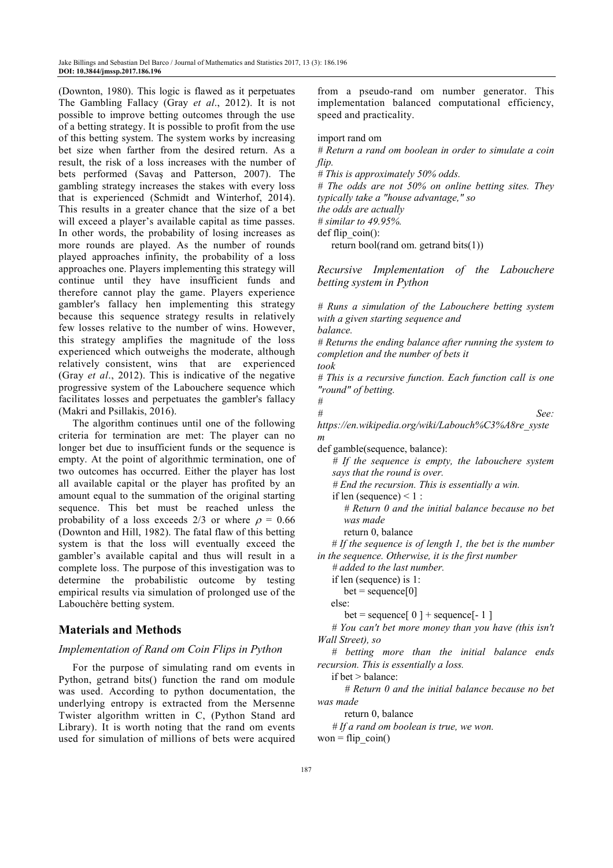(Downton, 1980). This logic is flawed as it perpetuates The Gambling Fallacy (Gray *et al*., 2012). It is not possible to improve betting outcomes through the use of a betting strategy. It is possible to profit from the use of this betting system. The system works by increasing bet size when farther from the desired return. As a result, the risk of a loss increases with the number of bets performed (Savaş and Patterson, 2007). The gambling strategy increases the stakes with every loss that is experienced (Schmidt and Winterhof, 2014). This results in a greater chance that the size of a bet will exceed a player's available capital as time passes. In other words, the probability of losing increases as more rounds are played. As the number of rounds played approaches infinity, the probability of a loss approaches one. Players implementing this strategy will continue until they have insufficient funds and therefore cannot play the game. Players experience gambler's fallacy hen implementing this strategy because this sequence strategy results in relatively few losses relative to the number of wins. However, this strategy amplifies the magnitude of the loss experienced which outweighs the moderate, although relatively consistent, wins that are experienced (Gray *et al*., 2012). This is indicative of the negative progressive system of the Labouchere sequence which facilitates losses and perpetuates the gambler's fallacy (Makri and Psillakis, 2016).

The algorithm continues until one of the following criteria for termination are met: The player can no longer bet due to insufficient funds or the sequence is empty. At the point of algorithmic termination, one of two outcomes has occurred. Either the player has lost all available capital or the player has profited by an amount equal to the summation of the original starting sequence. This bet must be reached unless the probability of a loss exceeds 2/3 or where  $\rho = 0.66$ (Downton and Hill, 1982). The fatal flaw of this betting system is that the loss will eventually exceed the gambler's available capital and thus will result in a complete loss. The purpose of this investigation was to determine the probabilistic outcome by testing empirical results via simulation of prolonged use of the Labouchère betting system.

# **Materials and Methods**

### *Implementation of Rand om Coin Flips in Python*

For the purpose of simulating rand om events in Python, getrand bits() function the rand om module was used. According to python documentation, the underlying entropy is extracted from the Mersenne Twister algorithm written in C, (Python Stand ard Library). It is worth noting that the rand om events used for simulation of millions of bets were acquired from a pseudo-rand om number generator. This implementation balanced computational efficiency, speed and practicality.

import rand om

*# Return a rand om boolean in order to simulate a coin flip.* 

*# This is approximately 50% odds.* 

*# The odds are not 50% on online betting sites. They typically take a "house advantage," so the odds are actually* 

*# similar to 49.95%.*   $def flip coin():$ 

return bool(rand om. getrand bits(1))

*Recursive Implementation of the Labouchere betting system in Python* 

*# Runs a simulation of the Labouchere betting system with a given starting sequence and* 

*balance.* 

*#* 

*# Returns the ending balance after running the system to completion and the number of bets it* 

*took* 

*# This is a recursive function. Each function call is one "round" of betting.* 

*# See:* 

*https://en.wikipedia.org/wiki/Labouch%C3%A8re\_syste m* 

def gamble(sequence, balance):

 *# If the sequence is empty, the labouchere system says that the round is over.* 

 *# End the recursion. This is essentially a win.* 

if len (sequence)  $\leq 1$  :

 *# Return 0 and the initial balance because no bet was made* 

return 0, balance

 *# If the sequence is of length 1, the bet is the number in the sequence. Otherwise, it is the first number* 

 *# added to the last number.* 

if len (sequence) is 1:

 $bet = sequence[0]$ 

else:

bet = sequence[ $0$ ] + sequence[ $-1$ ]

 *# You can't bet more money than you have (this isn't Wall Street), so* 

 *# betting more than the initial balance ends recursion. This is essentially a loss.* 

if bet > balance:

 *# Return 0 and the initial balance because no bet was made* 

return 0, balance

 *# If a rand om boolean is true, we won.* 

won = flip  $\cosh()$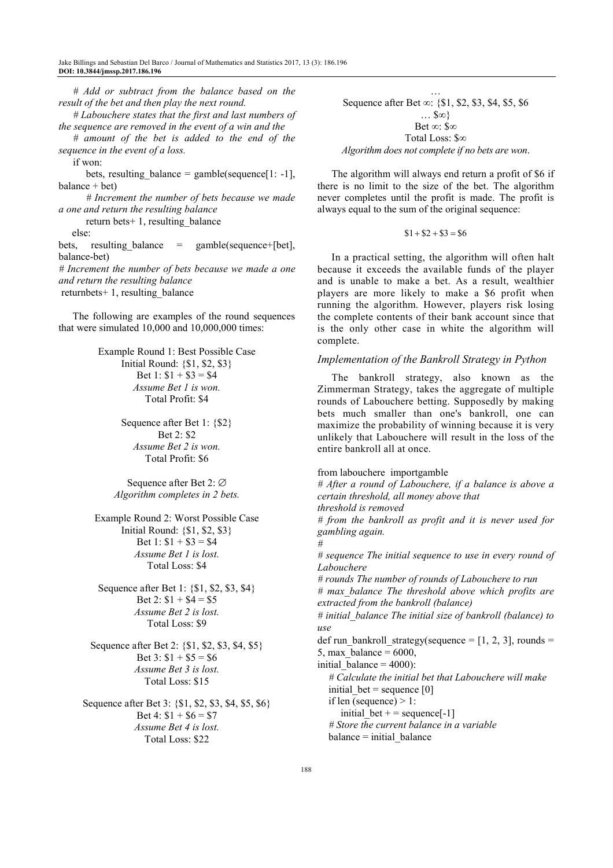*# Add or subtract from the balance based on the result of the bet and then play the next round.* 

 *# Labouchere states that the first and last numbers of the sequence are removed in the event of a win and the* 

 *# amount of the bet is added to the end of the sequence in the event of a loss.* 

if won:

bets, resulting\_balance = gamble(sequence[1: -1], balance + bet)

 *# Increment the number of bets because we made a one and return the resulting balance* 

return bets+ 1, resulting\_balance

else:

bets, resulting balance  $=$  gamble(sequence+[bet], balance-bet)

*# Increment the number of bets because we made a one and return the resulting balance* 

 $returnbets+ 1$ , resulting balance

The following are examples of the round sequences that were simulated 10,000 and 10,000,000 times:

> Example Round 1: Best Possible Case Initial Round: {\$1, \$2, \$3} Bet 1:  $$1 + $3 = $4$ *Assume Bet 1 is won.*  Total Profit: \$4

> > Sequence after Bet 1: {\$2} Bet 2: \$2 *Assume Bet 2 is won.*  Total Profit: \$6

Sequence after Bet 2: ∅ *Algorithm completes in 2 bets.* 

Example Round 2: Worst Possible Case Initial Round: {\$1, \$2, \$3} Bet 1:  $$1 + $3 = $4$ *Assume Bet 1 is lost.*  Total Loss: \$4

Sequence after Bet 1: {\$1, \$2, \$3, \$4} Bet 2:  $$1 + $4 = $5$ *Assume Bet 2 is lost.*  Total Loss: \$9

Sequence after Bet 2: {\$1, \$2, \$3, \$4, \$5} Bet 3:  $$1 + $5 = $6$ *Assume Bet 3 is lost.*  Total Loss: \$15

Sequence after Bet 3: {\$1, \$2, \$3, \$4, \$5, \$6} Bet 4:  $$1 + $6 = $7$ *Assume Bet 4 is lost.*  Total Loss: \$22

… Sequence after Bet ∞: {\$1, \$2, \$3, \$4, \$5, \$6 … \$∞} Bet ∞: \$∞ Total Loss: \$∞ *Algorithm does not complete if no bets are won*.

The algorithm will always end return a profit of \$6 if there is no limit to the size of the bet. The algorithm never completes until the profit is made. The profit is always equal to the sum of the original sequence:

 $$1 + $2 + $3 = $6$ 

In a practical setting, the algorithm will often halt because it exceeds the available funds of the player and is unable to make a bet. As a result, wealthier players are more likely to make a \$6 profit when running the algorithm. However, players risk losing the complete contents of their bank account since that is the only other case in white the algorithm will complete.

### *Implementation of the Bankroll Strategy in Python*

The bankroll strategy, also known as the Zimmerman Strategy, takes the aggregate of multiple rounds of Labouchere betting. Supposedly by making bets much smaller than one's bankroll, one can maximize the probability of winning because it is very unlikely that Labouchere will result in the loss of the entire bankroll all at once.

from labouchere importgamble *# After a round of Labouchere, if a balance is above a certain threshold, all money above that threshold is removed # from the bankroll as profit and it is never used for gambling again. # # sequence The initial sequence to use in every round of Labouchere # rounds The number of rounds of Labouchere to run # max\_balance The threshold above which profits are extracted from the bankroll (balance) # initial\_balance The initial size of bankroll (balance) to use*  def run\_bankroll\_strategy(sequence =  $[1, 2, 3]$ , rounds = 5, max balance  $= 6000$ , initial balance  $= 4000$ :  *# Calculate the initial bet that Labouchere will make*  initial bet = sequence  $[0]$ if len (sequence)  $> 1$ : initial bet + = sequence $[-1]$  *# Store the current balance in a variable*   $b$ alance  $=$  initial balance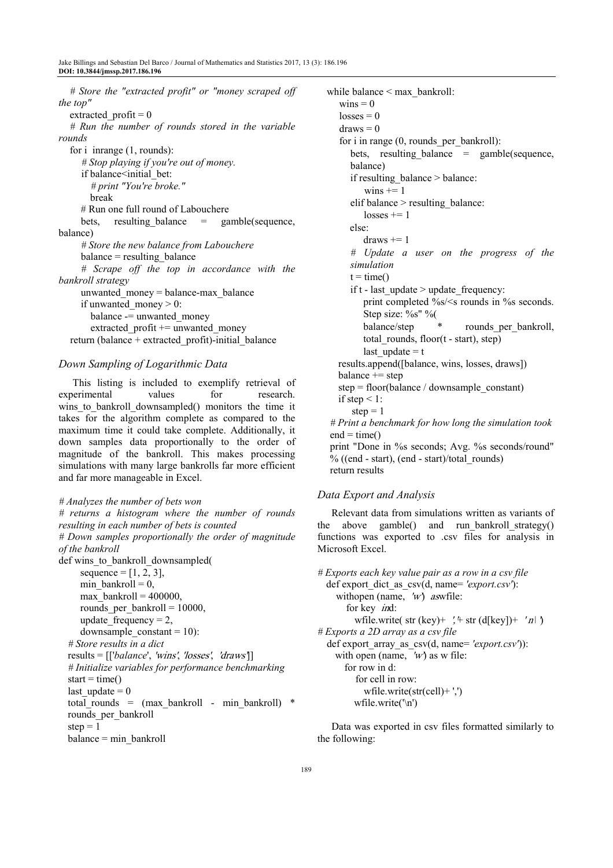*# Store the "extracted profit" or "money scraped off the top"*  extracted\_profit = 0  *# Run the number of rounds stored in the variable rounds*  for i in range  $(1,$  rounds):  *# Stop playing if you're out of money.*  if balance<initial bet:  *# print "You're broke."*  break # Run one full round of Labouchere bets, resulting balance  $=$  gamble(sequence, balance)  *# Store the new balance from Labouchere*   $balance = resulting balance$  *# Scrape off the top in accordance with the bankroll strategy*  unwanted  $m$ oney = balance-max balance if unwanted money  $> 0$ : balance -= unwanted money extracted  $profit +=$  unwanted money return (balance + extracted profit)-initial balance

### *Down Sampling of Logarithmic Data*

This listing is included to exemplify retrieval of experimental values for research. wins to bankroll downsampled() monitors the time it takes for the algorithm complete as compared to the maximum time it could take complete. Additionally, it down samples data proportionally to the order of magnitude of the bankroll. This makes processing simulations with many large bankrolls far more efficient and far more manageable in Excel.

### *# Analyzes the number of bets won*

*# returns a histogram where the number of rounds resulting in each number of bets is counted # Down samples proportionally the order of magnitude of the bankroll*  def wins to bankroll downsampled( sequence =  $[1, 2, 3]$ , min bankroll =  $0$ . max bankroll =  $400000$ . rounds per bankroll =  $10000$ , update frequency =  $2$ , downsample  $constant = 10$ :  *# Store results in a dict*  results  $= [[\text{balance}', \text{wins}', \text{losses}', \text{draws}$  *# Initialize variables for performance benchmarking*   $start = time()$ last update  $= 0$ total rounds =  $(max bankroll - min bankroll) *$ rounds per bankroll step  $= 1$ balance = min\_bankroll

 while balance < max\_bankroll:  $wins = 0$  $losses = 0$  $draws = 0$  for i in range (0, rounds\_per\_bankroll): bets, resulting balance  $=$  gamble(sequence, balance) if resulting  $b$ alance > balance: wins  $+= 1$  elif balance > resulting\_balance:  $losses += 1$  else:  $draws += 1$  *# Update a user on the progress of the simulation*   $t = time()$ if t - last update  $>$  update frequency: print completed %s/<s rounds in %s seconds. Step size: %s" % balance/step \* rounds per bankroll, total rounds, floor $(t - start)$ , step) last update  $= t$  results.append([balance, wins, losses, draws])  $balance += step$  step = floor(balance / downsample\_constant) if step  $\leq 1$ : step  $= 1$  *# Print a benchmark for how long the simulation took*   $end = time()$  print "Done in %s seconds; Avg. %s seconds/round" % ((end - start), (end - start)/total\_rounds) return results

# *Data Export and Analysis*

Relevant data from simulations written as variants of the above gamble() and run bankroll strategy() functions was exported to .csv files for analysis in Microsoft Excel.

```
# Exports each key value pair as a row in a csv file 
def export_dict_as_csv(d, name= 'export.csv'): 
 withopen (name, 'w') aswfile:
    for key ind:
      wfile.write( str (key)+ \prime + str (d[key])+ \prime n| \prime# Exports a 2D array as a csv file 
def export_array_as_csv(d, name= 'export.csv')): 
 with open (name, 'w) as w file:
     for row in d: 
        for cell in row: 
          wfile.write(str(cell)+ ',') 
       wfile.write('\n')
```
Data was exported in csv files formatted similarly to the following: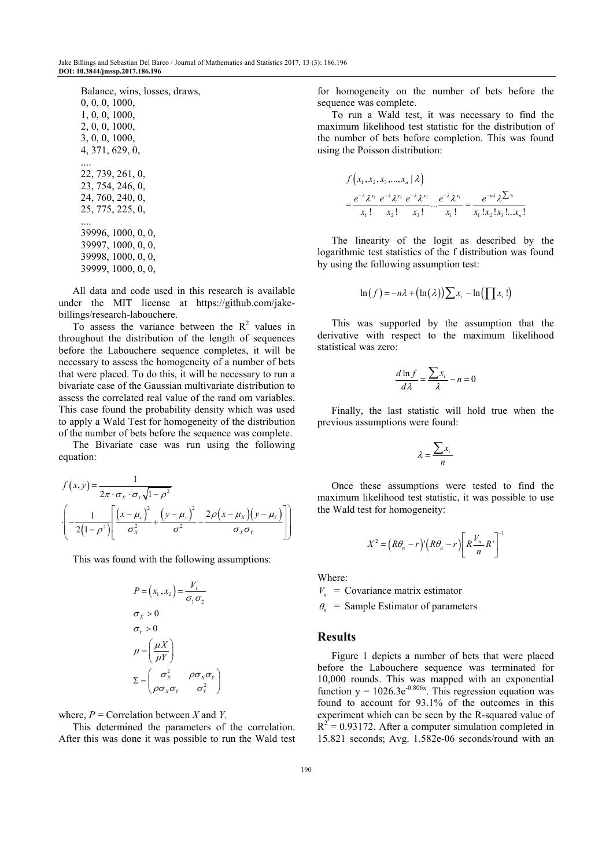All data and code used in this research is available under the MIT license at https://github.com/jakebillings/research-labouchere.

To assess the variance between the  $R^2$  values in throughout the distribution of the length of sequences before the Labouchere sequence completes, it will be necessary to assess the homogeneity of a number of bets that were placed. To do this, it will be necessary to run a bivariate case of the Gaussian multivariate distribution to assess the correlated real value of the rand om variables. This case found the probability density which was used to apply a Wald Test for homogeneity of the distribution of the number of bets before the sequence was complete.

The Bivariate case was run using the following equation:

$$
f(x,y) = \frac{1}{2\pi \cdot \sigma_x \cdot \sigma_y \sqrt{1-\rho^2}}
$$

$$
\left(-\frac{1}{2(1-\rho^2)} \left[ \frac{(x-\mu_x)^2}{\sigma_x^2} + \frac{(y-\mu_y)^2}{\sigma^2} - \frac{2\rho(x-\mu_x)(y-\mu_y)}{\sigma_x \sigma_y} \right] \right)
$$

This was found with the following assumptions:

$$
P = (x_1, x_2) = \frac{V_I}{\sigma_1 \sigma_2}
$$
  
\n
$$
\sigma_X > 0
$$
  
\n
$$
\sigma_Y > 0
$$
  
\n
$$
\mu = \left(\frac{\mu X}{\mu Y}\right)
$$
  
\n
$$
\Sigma = \begin{pmatrix} \sigma_X^2 & \rho \sigma_X \sigma_Y \\ \rho \sigma_X \sigma_Y & \sigma_Y^2 \end{pmatrix}
$$

where, *Ρ* = Correlation between *X* and *Y*.

This determined the parameters of the correlation. After this was done it was possible to run the Wald test for homogeneity on the number of bets before the sequence was complete.

To run a Wald test, it was necessary to find the maximum likelihood test statistic for the distribution of the number of bets before completion. This was found using the Poisson distribution:

$$
f(x_1, x_2, x_3, ..., x_n | \lambda)
$$
  
=  $\frac{e^{-\lambda} \lambda^{x_1}}{x_1!} \frac{e^{-\lambda} \lambda^{x_2}}{x_2!} \frac{e^{-\lambda} \lambda^{x_3}}{x_3!} ... \frac{e^{-\lambda} \lambda^{x_n}}{x_1!} = \frac{e^{-n\lambda} \lambda^{x_1}}{x_1! x_2! x_3! ... x_n!}$ 

The linearity of the logit as described by the logarithmic test statistics of the f distribution was found by using the following assumption test:

$$
\ln(f) = -n\lambda + (\ln(\lambda)) \sum x_i - \ln(\prod x_i!)
$$

This was supported by the assumption that the derivative with respect to the maximum likelihood statistical was zero:

$$
\frac{d\ln f}{d\lambda} = \frac{\sum x_i}{\lambda} - n = 0
$$

Finally, the last statistic will hold true when the previous assumptions were found:

$$
\lambda = \frac{\sum x_i}{n}
$$

Once these assumptions were tested to find the maximum likelihood test statistic, it was possible to use the Wald test for homogeneity:

$$
X^{2} = (R\theta_{n} - r)^{n} (R\theta_{n} - r) \left[ R \frac{V_{n}}{n} R^{n} \right]^{-1}
$$

Where:

 $V_n$  = Covariance matrix estimator

 $\theta_n$  = Sample Estimator of parameters

### **Results**

Figure 1 depicts a number of bets that were placed before the Labouchere sequence was terminated for 10,000 rounds. This was mapped with an exponential function  $y = 1026.3e^{-0.806x}$ . This regression equation was found to account for 93.1% of the outcomes in this experiment which can be seen by the R-squared value of  $R^{2}$  = 0.93172. After a computer simulation completed in 15.821 seconds; Avg. 1.582e-06 seconds/round with an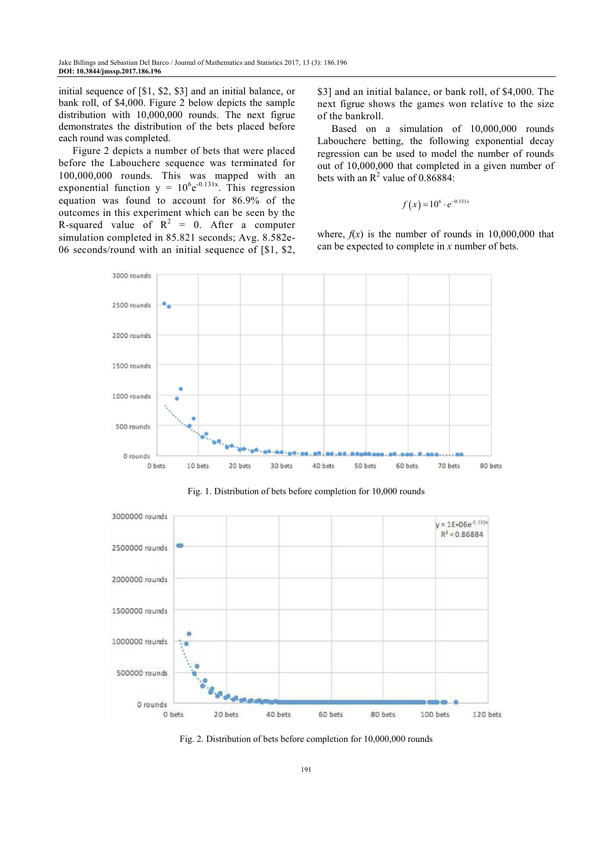initial sequence of [\$1, \$2, \$3] and an initial balance, or bank roll, of \$4,000. Figure 2 below depicts the sample distribution with 10,000,000 rounds. The next figrue demonstrates the distribution of the bets placed before each round was completed.

Figure 2 depicts a number of bets that were placed before the Labouchere sequence was terminated for 100,000,000 rounds. This was mapped with an exponential function  $y = 10^6 e^{-0.131x}$ . This regression equation was found to account for 86.9% of the outcomes in this experiment which can be seen by the R-squared value of  $R^2 = 0$ . After a computer simulation completed in 85.821 seconds; Avg. 8.582e-06 seconds/round with an initial sequence of [\$1, \$2,

\$3] and an initial balance, or bank roll, of \$4,000. The next figrue shows the games won relative to the size of the bankroll.

Based on a simulation of 10,000,000 rounds Labouchere betting, the following exponential decay regression can be used to model the number of rounds out of 10,000,000 that completed in a given number of bets with an  $R^2$  value of 0.86884:

$$
f(x) = 10^6 \cdot e^{-0.131x}
$$

where,  $f(x)$  is the number of rounds in 10,000,000 that can be expected to complete in *x* number of bets.



Fig. 1. Distribution of bets before completion for 10,000 rounds



Fig. 2. Distribution of bets before completion for 10,000,000 rounds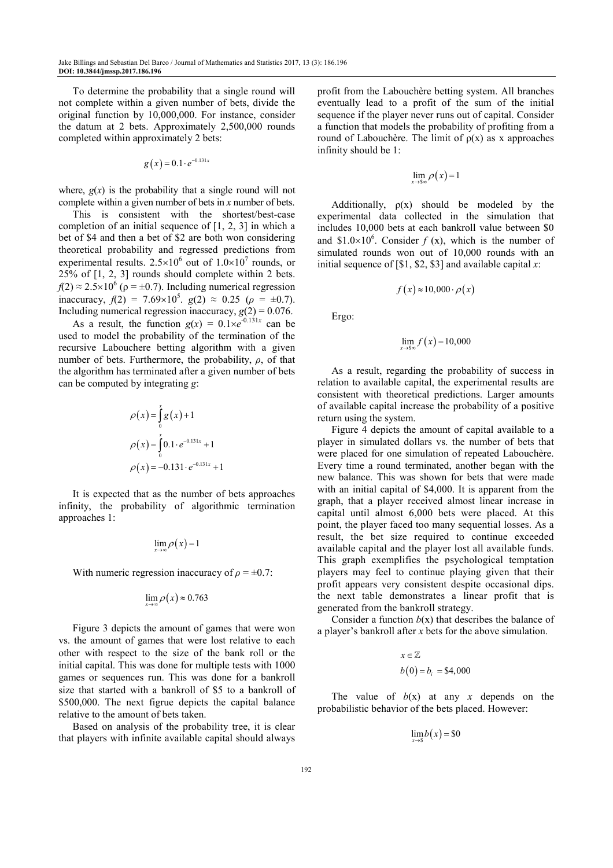To determine the probability that a single round will not complete within a given number of bets, divide the original function by 10,000,000. For instance, consider the datum at 2 bets. Approximately 2,500,000 rounds completed within approximately 2 bets:

$$
g(x) = 0.1 \cdot e^{-0.131x}
$$

where,  $g(x)$  is the probability that a single round will not complete within a given number of bets in *x* number of bets.

This is consistent with the shortest/best-case completion of an initial sequence of  $[1, 2, 3]$  in which a bet of \$4 and then a bet of \$2 are both won considering theoretical probability and regressed predictions from experimental results.  $2.5 \times 10^6$  out of  $1.0 \times 10^7$  rounds, or 25% of [1, 2, 3] rounds should complete within 2 bets.  $f(2) \approx 2.5 \times 10^6$  ( $\rho = \pm 0.7$ ). Including numerical regression inaccuracy,  $f(2) = 7.69 \times 10^5$ .  $g(2) \approx 0.25$  ( $\rho = \pm 0.7$ ). Including numerical regression inaccuracy,  $g(2) = 0.076$ .

As a result, the function  $g(x) = 0.1 \times e^{-0.131x}$  can be used to model the probability of the termination of the recursive Labouchere betting algorithm with a given number of bets. Furthermore, the probability, *ρ*, of that the algorithm has terminated after a given number of bets can be computed by integrating *g*:

$$
\rho(x) = \int_{0}^{x} g(x) + 1
$$
  
\n
$$
\rho(x) = \int_{0}^{x} 0.1 \cdot e^{-0.131x} + 1
$$
  
\n
$$
\rho(x) = -0.131 \cdot e^{-0.131x} + 1
$$

It is expected that as the number of bets approaches infinity, the probability of algorithmic termination approaches 1:

$$
\lim_{x\to\infty}\rho(x)=1
$$

With numeric regression inaccuracy of  $\rho = \pm 0.7$ :

$$
\lim_{x\to\infty}\rho(x)\approx 0.763
$$

Figure 3 depicts the amount of games that were won vs. the amount of games that were lost relative to each other with respect to the size of the bank roll or the initial capital. This was done for multiple tests with 1000 games or sequences run. This was done for a bankroll size that started with a bankroll of \$5 to a bankroll of \$500,000. The next figrue depicts the capital balance relative to the amount of bets taken.

Based on analysis of the probability tree, it is clear that players with infinite available capital should always profit from the Labouchère betting system. All branches eventually lead to a profit of the sum of the initial sequence if the player never runs out of capital. Consider a function that models the probability of profiting from a round of Labouchère. The limit of ρ(x) as x approaches infinity should be 1:

$$
\lim_{x\to s\infty}\rho(x)=1
$$

Additionally,  $\rho(x)$  should be modeled by the experimental data collected in the simulation that includes 10,000 bets at each bankroll value between \$0 and \$1.0×10<sup>6</sup>. Consider  $f(x)$ , which is the number of simulated rounds won out of 10,000 rounds with an initial sequence of [\$1, \$2, \$3] and available capital *x*:

$$
f(x) \approx 10,000 \cdot \rho(x)
$$

Ergo:

$$
\lim_{x \to 8\infty} f(x) = 10,000
$$

As a result, regarding the probability of success in relation to available capital, the experimental results are consistent with theoretical predictions. Larger amounts of available capital increase the probability of a positive return using the system.

Figure 4 depicts the amount of capital available to a player in simulated dollars vs. the number of bets that were placed for one simulation of repeated Labouchère. Every time a round terminated, another began with the new balance. This was shown for bets that were made with an initial capital of \$4,000. It is apparent from the graph, that a player received almost linear increase in capital until almost 6,000 bets were placed. At this point, the player faced too many sequential losses. As a result, the bet size required to continue exceeded available capital and the player lost all available funds. This graph exemplifies the psychological temptation players may feel to continue playing given that their profit appears very consistent despite occasional dips. the next table demonstrates a linear profit that is generated from the bankroll strategy.

Consider a function  $b(x)$  that describes the balance of a player's bankroll after *x* bets for the above simulation.

$$
x \in \mathbb{Z}
$$
  

$$
b(0) = b_i = $4,000
$$

The value of  $b(x)$  at any x depends on the probabilistic behavior of the bets placed. However:

 $\lim_{x\to s} b(x) = $0$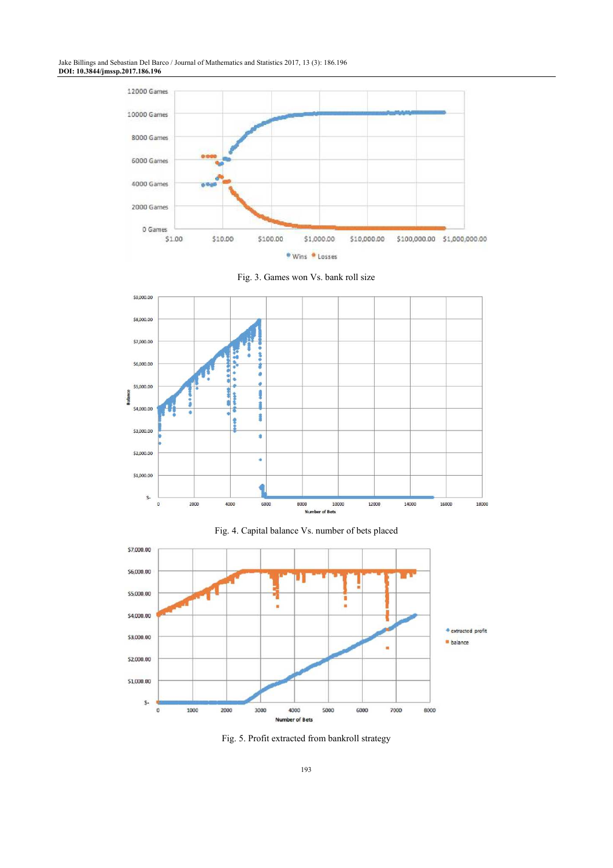Jake Billings and Sebastian Del Barco / Journal of Mathematics and Statistics 2017, 13 (3): 186.196 **DOI: 10.3844/jmssp.2017.186.196** 







Fig. 4. Capital balance Vs. number of bets placed



Fig. 5. Profit extracted from bankroll strategy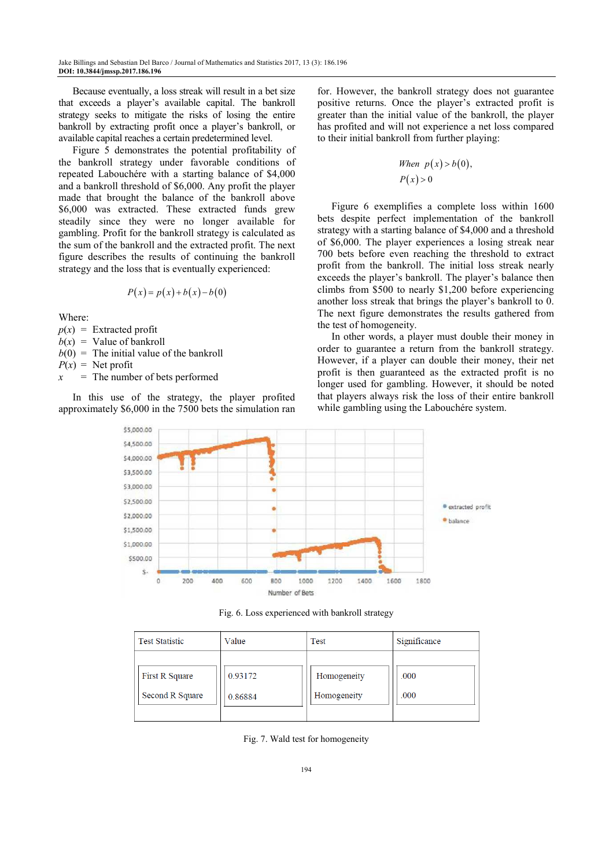Because eventually, a loss streak will result in a bet size that exceeds a player's available capital. The bankroll strategy seeks to mitigate the risks of losing the entire bankroll by extracting profit once a player's bankroll, or available capital reaches a certain predetermined level.

Figure 5 demonstrates the potential profitability of the bankroll strategy under favorable conditions of repeated Labouchére with a starting balance of \$4,000 and a bankroll threshold of \$6,000. Any profit the player made that brought the balance of the bankroll above \$6,000 was extracted. These extracted funds grew steadily since they were no longer available for gambling. Profit for the bankroll strategy is calculated as the sum of the bankroll and the extracted profit. The next figure describes the results of continuing the bankroll strategy and the loss that is eventually experienced:

$$
P(x) = p(x) + b(x) - b(0)
$$

Where:

 $p(x)$  = Extracted profit

 $b(x)$  = Value of bankroll

 $b(0)$  = The initial value of the bankroll  $P(x) =$  Net profit

*x* = The number of bets performed

In this use of the strategy, the player profited approximately \$6,000 in the 7500 bets the simulation ran for. However, the bankroll strategy does not guarantee positive returns. Once the player's extracted profit is greater than the initial value of the bankroll, the player has profited and will not experience a net loss compared to their initial bankroll from further playing:

When 
$$
p(x) > b(0)
$$
,  
 $P(x) > 0$ 

Figure 6 exemplifies a complete loss within 1600 bets despite perfect implementation of the bankroll strategy with a starting balance of \$4,000 and a threshold of \$6,000. The player experiences a losing streak near 700 bets before even reaching the threshold to extract profit from the bankroll. The initial loss streak nearly exceeds the player's bankroll. The player's balance then climbs from \$500 to nearly \$1,200 before experiencing another loss streak that brings the player's bankroll to 0. The next figure demonstrates the results gathered from the test of homogeneity.

In other words, a player must double their money in order to guarantee a return from the bankroll strategy. However, if a player can double their money, their net profit is then guaranteed as the extracted profit is no longer used for gambling. However, it should be noted that players always risk the loss of their entire bankroll while gambling using the Labouchére system.



Fig. 6. Loss experienced with bankroll strategy

| <b>Test Statistic</b> | Value   | Test        | Significance |
|-----------------------|---------|-------------|--------------|
| <b>First R Square</b> | 0.93172 | Homogeneity | .000         |
| Second R Square       | 0.86884 | Homogeneity | .000         |

Fig. 7. Wald test for homogeneity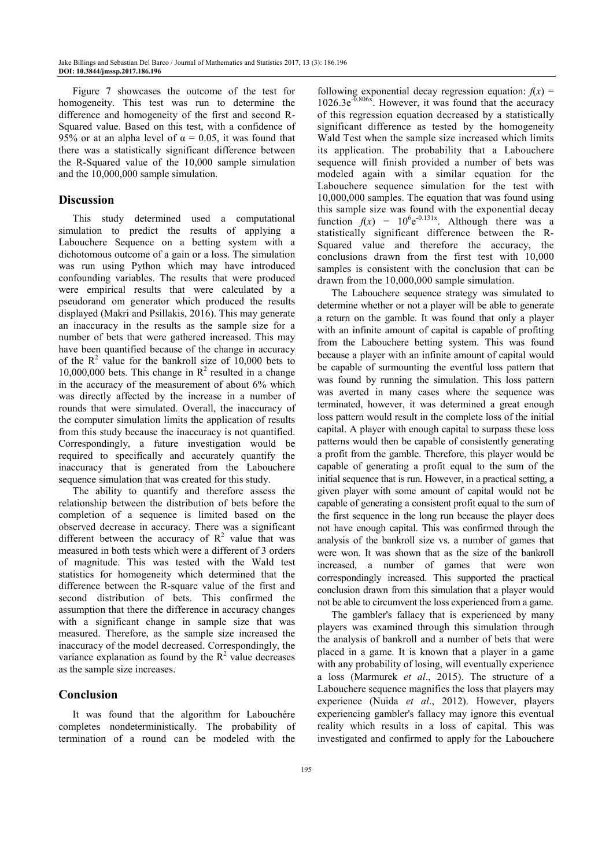Figure 7 showcases the outcome of the test for homogeneity. This test was run to determine the difference and homogeneity of the first and second R-Squared value. Based on this test, with a confidence of 95% or at an alpha level of  $\alpha = 0.05$ , it was found that there was a statistically significant difference between the R-Squared value of the 10,000 sample simulation and the 10,000,000 sample simulation.

### **Discussion**

This study determined used a computational simulation to predict the results of applying a Labouchere Sequence on a betting system with a dichotomous outcome of a gain or a loss. The simulation was run using Python which may have introduced confounding variables. The results that were produced were empirical results that were calculated by a pseudorand om generator which produced the results displayed (Makri and Psillakis, 2016). This may generate an inaccuracy in the results as the sample size for a number of bets that were gathered increased. This may have been quantified because of the change in accuracy of the  $R^2$  value for the bankroll size of 10,000 bets to 10,000,000 bets. This change in  $R^2$  resulted in a change in the accuracy of the measurement of about 6% which was directly affected by the increase in a number of rounds that were simulated. Overall, the inaccuracy of the computer simulation limits the application of results from this study because the inaccuracy is not quantified. Correspondingly, a future investigation would be required to specifically and accurately quantify the inaccuracy that is generated from the Labouchere sequence simulation that was created for this study.

The ability to quantify and therefore assess the relationship between the distribution of bets before the completion of a sequence is limited based on the observed decrease in accuracy. There was a significant different between the accuracy of  $R^2$  value that was measured in both tests which were a different of 3 orders of magnitude. This was tested with the Wald test statistics for homogeneity which determined that the difference between the R-square value of the first and second distribution of bets. This confirmed the assumption that there the difference in accuracy changes with a significant change in sample size that was measured. Therefore, as the sample size increased the inaccuracy of the model decreased. Correspondingly, the variance explanation as found by the  $R^2$  value decreases as the sample size increases.

# **Conclusion**

It was found that the algorithm for Labouchére completes nondeterministically. The probability of termination of a round can be modeled with the

following exponential decay regression equation:  $f(x) =$ 1026.3e-0.806x. However, it was found that the accuracy of this regression equation decreased by a statistically significant difference as tested by the homogeneity Wald Test when the sample size increased which limits its application. The probability that a Labouchere sequence will finish provided a number of bets was modeled again with a similar equation for the Labouchere sequence simulation for the test with 10,000,000 samples. The equation that was found using this sample size was found with the exponential decay function  $f(x) = 10^6 e^{-0.131x}$ . Although there was a statistically significant difference between the R-Squared value and therefore the accuracy, the conclusions drawn from the first test with 10,000 samples is consistent with the conclusion that can be drawn from the 10,000,000 sample simulation.

The Labouchere sequence strategy was simulated to determine whether or not a player will be able to generate a return on the gamble. It was found that only a player with an infinite amount of capital is capable of profiting from the Labouchere betting system. This was found because a player with an infinite amount of capital would be capable of surmounting the eventful loss pattern that was found by running the simulation. This loss pattern was averted in many cases where the sequence was terminated, however, it was determined a great enough loss pattern would result in the complete loss of the initial capital. A player with enough capital to surpass these loss patterns would then be capable of consistently generating a profit from the gamble. Therefore, this player would be capable of generating a profit equal to the sum of the initial sequence that is run. However, in a practical setting, a given player with some amount of capital would not be capable of generating a consistent profit equal to the sum of the first sequence in the long run because the player does not have enough capital. This was confirmed through the analysis of the bankroll size vs. a number of games that were won. It was shown that as the size of the bankroll increased, a number of games that were won correspondingly increased. This supported the practical conclusion drawn from this simulation that a player would not be able to circumvent the loss experienced from a game.

The gambler's fallacy that is experienced by many players was examined through this simulation through the analysis of bankroll and a number of bets that were placed in a game. It is known that a player in a game with any probability of losing, will eventually experience a loss (Marmurek *et al*., 2015). The structure of a Labouchere sequence magnifies the loss that players may experience (Nuida *et al*., 2012). However, players experiencing gambler's fallacy may ignore this eventual reality which results in a loss of capital. This was investigated and confirmed to apply for the Labouchere